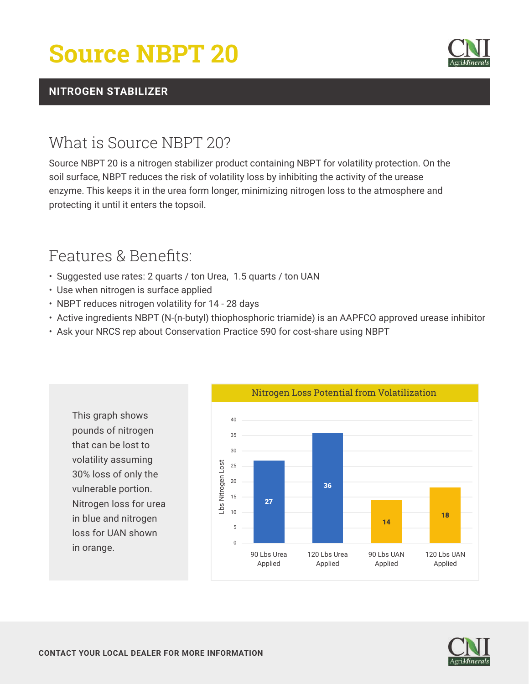# **Source NBPT 20**



#### **NITROGEN STABILIZER**

### What is Source NBPT 20?

Source NBPT 20 is a nitrogen stabilizer product containing NBPT for volatility protection. On the soil surface, NBPT reduces the risk of volatility loss by inhibiting the activity of the urease enzyme. This keeps it in the urea form longer, minimizing nitrogen loss to the atmosphere and protecting it until it enters the topsoil.

## Features & Benefits:

- Suggested use rates: 2 quarts / ton Urea, 1.5 quarts / ton UAN
- Use when nitrogen is surface applied
- NBPT reduces nitrogen volatility for 14 28 days
- Active ingredients NBPT (N-(n-butyl) thiophosphoric triamide) is an AAPFCO approved urease inhibitor
- Ask your NRCS rep about Conservation Practice 590 for cost-share using NBPT





in orange.